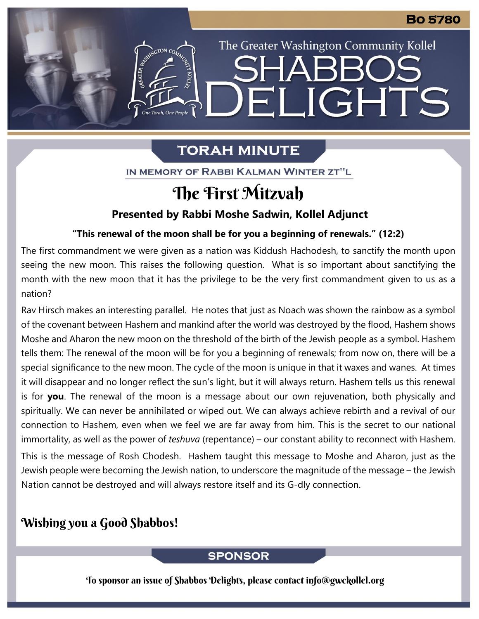# **TORAH MINUTE**

The Greater Washington Community Kollel

ELIGHTS

IN MEMORY OF RABBI KALMAN WINTER ZT"L

# The First Mitzvah

## **Presented by Rabbi Moshe Sadwin, Kollel Adjunct**

#### **"This renewal of the moon shall be for you a beginning of renewals." (12:2) From our archives**

The first commandment we were given as a nation was Kiddush Hachodesh, to sanctify the month upon seeing the new moon. This raises the following question. What is so important about sanctifying the month with the new moon that it has the privilege to be the very first commandment given to us as a nation?

Rav Hirsch makes an interesting parallel. He notes that just as Noach was shown the rainbow as a symbol of the covenant between Hashem and mankind after the world was destroyed by the flood, Hashem shows Moshe and Aharon the new moon on the threshold of the birth of the Jewish people as a symbol. Hashem tells them: The renewal of the moon will be for you a beginning of renewals; from now on, there will be a special significance to the new moon. The cycle of the moon is unique in that it waxes and wanes. At times it will disappear and no longer reflect the sun's light, but it will always return. Hashem tells us this renewal is for **you**. The renewal of the moon is a message about our own rejuvenation, both physically and spiritually. We can never be annihilated or wiped out. We can always achieve rebirth and a revival of our connection to Hashem, even when we feel we are far away from him. This is the secret to our national immortality, as well as the power of *teshuva* (repentance) – our constant ability to reconnect with Hashem.

This is the message of Rosh Chodesh. Hashem taught this message to Moshe and Aharon, just as the Jewish people were becoming the Jewish nation, to underscore the magnitude of the message – the Jewish Nation cannot be destroyed and will always restore itself and its G-dly connection.

# Wishing you a Good Shabbos!

## **SPONSOR**

To sponsor an issue of Shabbos Delights, please contact info@gwckollel.org